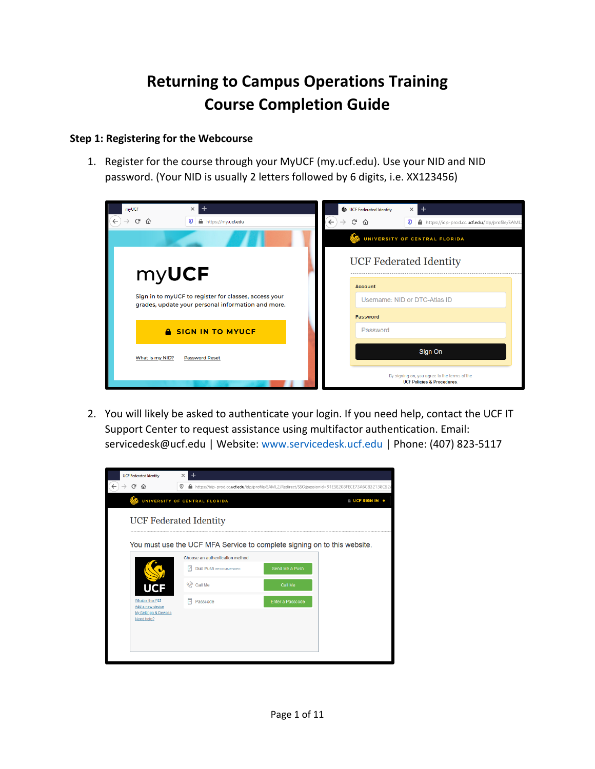# **Returning to Campus Operations Training Course Completion Guide**

### **Step 1: Registering for the Webcourse**

1. Register for the course through your MyUCF (my.ucf.edu). Use your NID and NID password. (Your NID is usually 2 letters followed by 6 digits, i.e. XX123456)

| $\times$ 1<br>mvUCF<br>G<br>命<br>$\boldsymbol{\mathbb{O}}$<br>https://my.ucf.edu | $\times$<br>UCF Federated Identity<br>$^+$<br>$\leftarrow$<br>G<br>⋒<br>$\boldsymbol{\sigma}$<br>https://idp-prod.cc.ucf.edu/idp/profile/SAML |  |  |  |
|----------------------------------------------------------------------------------|-----------------------------------------------------------------------------------------------------------------------------------------------|--|--|--|
|                                                                                  | œ.<br>UNIVERSITY OF CENTRAL FLORIDA                                                                                                           |  |  |  |
| myUCF                                                                            | <b>UCF Federated Identity</b>                                                                                                                 |  |  |  |
| Sign in to myUCF to register for classes, access your                            | <b>Account</b><br>Username: NID or DTC-Atlas ID                                                                                               |  |  |  |
| grades, update your personal information and more.                               | <b>Password</b>                                                                                                                               |  |  |  |
| <b>A SIGN IN TO MYUCF</b>                                                        | Password                                                                                                                                      |  |  |  |
| What is my NID?<br><b>Password Reset</b>                                         | Sign On                                                                                                                                       |  |  |  |
|                                                                                  | By signing on, you agree to the terms of the<br><b>UCF Policies &amp; Procedures.</b>                                                         |  |  |  |

2. You will likely be asked to authenticate your login. If you need help, contact the UCF IT Support Center to request assistance using multifactor authentication. Email: servicedesk@ucf.edu | Website: www.servicedesk.ucf.edu | Phone: (407) 823-5117

| <b>UCF Federated Identity</b>                                                                                                | $\times$                      |                                 |                  |                                                                          |  |
|------------------------------------------------------------------------------------------------------------------------------|-------------------------------|---------------------------------|------------------|--------------------------------------------------------------------------|--|
| G<br>⋒<br>$^\copyright$<br>https://idp-prod.cc.ucf.edu/idp/profile/SAML2/Redirect/SSO;jsessionid=91E5E208FECE73A6C832138C52A |                               |                                 |                  |                                                                          |  |
|                                                                                                                              | UNIVERSITY OF CENTRAL FLORIDA |                                 |                  | A UCF SIGN IN +                                                          |  |
| <b>UCF Federated Identity</b>                                                                                                |                               |                                 |                  |                                                                          |  |
|                                                                                                                              |                               | Choose an authentication method |                  | You must use the UCF MFA Service to complete signing on to this website. |  |
|                                                                                                                              |                               | <b>Duo Push RECOMMENDED</b>     | Send Me a Push   |                                                                          |  |
| UCF                                                                                                                          | <b>एको Call Me</b>            |                                 | Call Me          |                                                                          |  |
| What is this? L'<br>Add a new device                                                                                         | Passcode                      |                                 | Enter a Passcode |                                                                          |  |
| <b>My Settings &amp; Devices</b><br>Need help?                                                                               |                               |                                 |                  |                                                                          |  |
|                                                                                                                              |                               |                                 |                  |                                                                          |  |
|                                                                                                                              |                               |                                 |                  |                                                                          |  |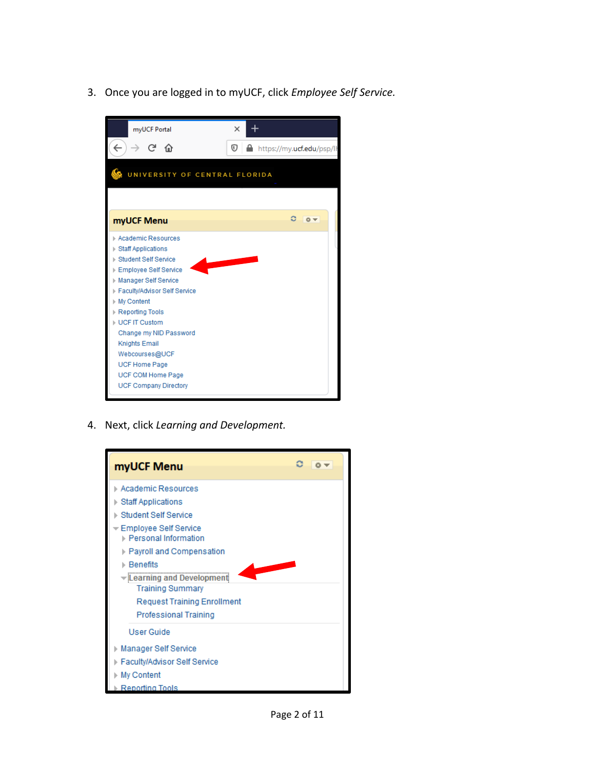3. Once you are logged in to myUCF, click *Employee Self Service.*



4. Next, click *Learning and Development.*

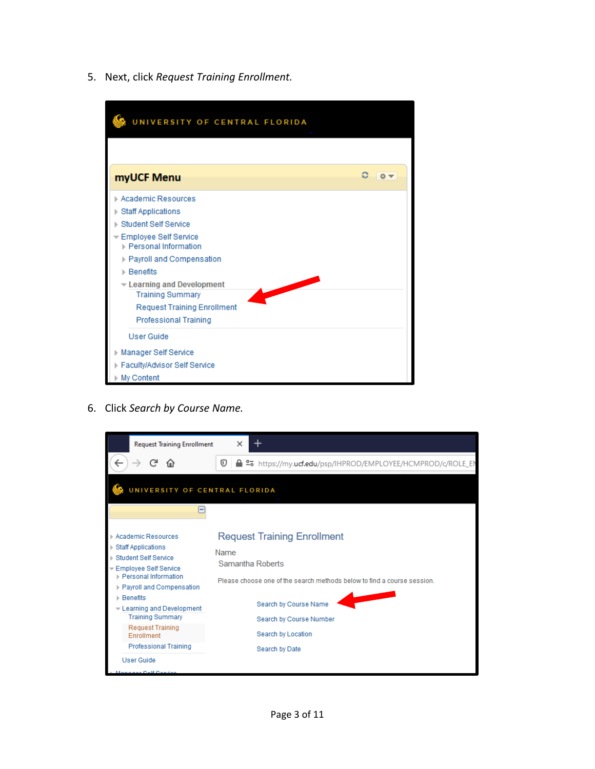5. Next, click *Request Training Enrollment.*

| UNIVERSITY OF CENTRAL FLORIDA                   |     |  |  |  |  |
|-------------------------------------------------|-----|--|--|--|--|
|                                                 |     |  |  |  |  |
| myUCF Menu                                      | ■森▼ |  |  |  |  |
| Academic Resources                              |     |  |  |  |  |
| ▶ Staff Applications                            |     |  |  |  |  |
| ▶ Student Self Service                          |     |  |  |  |  |
| Employee Self Service<br>▶ Personal Information |     |  |  |  |  |
| Payroll and Compensation                        |     |  |  |  |  |
| ▶ Benefits                                      |     |  |  |  |  |
| Examing and Development                         |     |  |  |  |  |
| <b>Training Summary</b>                         |     |  |  |  |  |
| <b>Request Training Enrollment</b>              |     |  |  |  |  |
| <b>Professional Training</b>                    |     |  |  |  |  |
| <b>User Guide</b>                               |     |  |  |  |  |
| Manager Self Service                            |     |  |  |  |  |
| Faculty/Advisor Self Service                    |     |  |  |  |  |
| My Content                                      |     |  |  |  |  |

6. Click *Search by Course Name.*

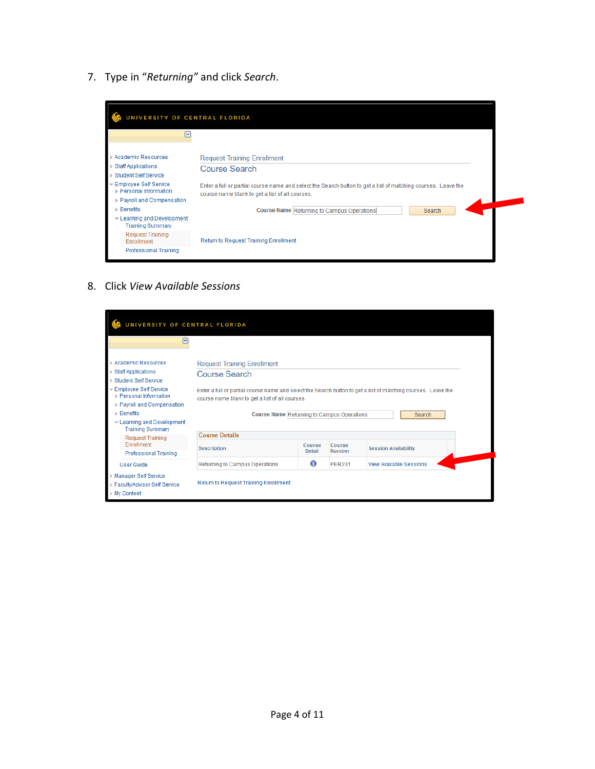7. Type in "*Returning"* and click *Search*.

| -                                               |                                                                                                                                                                  |
|-------------------------------------------------|------------------------------------------------------------------------------------------------------------------------------------------------------------------|
|                                                 |                                                                                                                                                                  |
| <b>Academic Resources</b>                       | <b>Request Training Enrollment</b>                                                                                                                               |
| <b>Staff Applications</b>                       | <b>Course Search</b>                                                                                                                                             |
| <b>Student Self Service</b>                     |                                                                                                                                                                  |
| Employee Self Service<br>▶ Personal Information | Enter a full or partial course name and select the Search button to get a list of matching courses. Leave the<br>course name blank to get a list of all courses. |
| Payroll and Compensation                        |                                                                                                                                                                  |
| ▶ Benefits                                      | Course Name Returning to Campus Operations<br>Search                                                                                                             |
| Eearning and Development                        |                                                                                                                                                                  |
| <b>Training Summary</b>                         |                                                                                                                                                                  |
| <b>Request Training</b><br>Enrollment           | <b>Return to Request Training Enrollment</b>                                                                                                                     |
| <b>Professional Training</b>                    |                                                                                                                                                                  |

8. Click *View Available Sessions*

| UNIVERSITY OF CENTRAL FLORIDA<br>╒                                                    |                                                                                                                                                                  |                  |                         |                                |  |
|---------------------------------------------------------------------------------------|------------------------------------------------------------------------------------------------------------------------------------------------------------------|------------------|-------------------------|--------------------------------|--|
| <b>Academic Resources</b><br><b>Staff Applications</b><br><b>Student Self Service</b> | <b>Request Training Enrollment</b><br><b>Course Search</b>                                                                                                       |                  |                         |                                |  |
| Employee Self Service<br>▶ Personal Information<br>Payroll and Compensation           | Enter a full or partial course name and select the Search button to get a list of matching courses. Leave the<br>course name blank to get a list of all courses. |                  |                         |                                |  |
| $\triangleright$ Benefits<br>Eearning and Development<br><b>Training Summary</b>      | <b>Course Name Returning to Campus Operations</b><br>Search                                                                                                      |                  |                         |                                |  |
| <b>Request Training</b><br>Enrollment<br><b>Professional Training</b>                 | <b>Course Details</b>                                                                                                                                            |                  |                         |                                |  |
|                                                                                       | <b>Description</b>                                                                                                                                               | Course<br>Detail | Course<br><b>Number</b> | <b>Session Availability</b>    |  |
| <b>User Guide</b>                                                                     | Returning to Campus Operations                                                                                                                                   | 0                | <b>PER231</b>           | <b>View Available Sessions</b> |  |
| <b>Manager Self Service</b><br>Faculty/Advisor Self Service<br>▶ My Content           | Return to Request Training Enrollment                                                                                                                            |                  |                         |                                |  |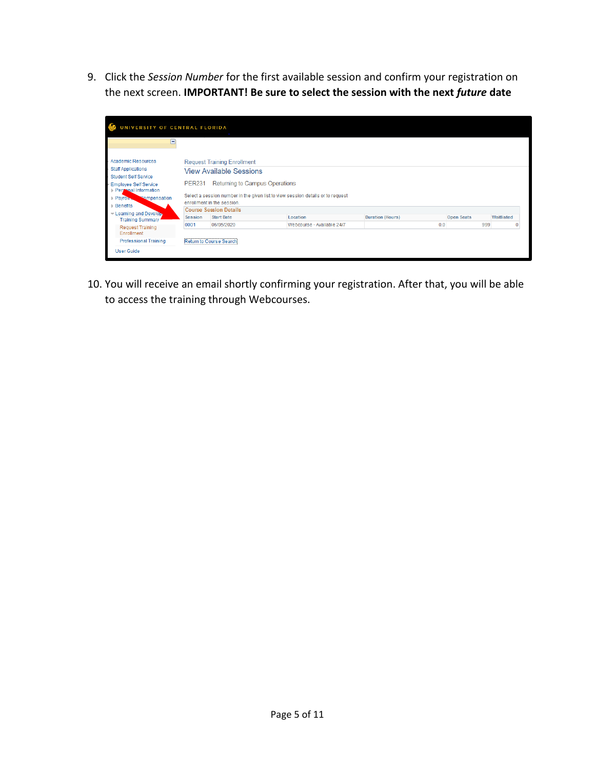9. Click the *Session Number* for the first available session and confirm your registration on the next screen. **IMPORTANT! Be sure to select the session with the next** *future* **date**

| INIVERSITY OF CENTRAL FLORIDA                                                                                                                                                                      |                                                                                                                                                                                                                                                                           |                                       |                            |                         |     |                   |            |  |
|----------------------------------------------------------------------------------------------------------------------------------------------------------------------------------------------------|---------------------------------------------------------------------------------------------------------------------------------------------------------------------------------------------------------------------------------------------------------------------------|---------------------------------------|----------------------------|-------------------------|-----|-------------------|------------|--|
| н                                                                                                                                                                                                  |                                                                                                                                                                                                                                                                           |                                       |                            |                         |     |                   |            |  |
| <b>Academic Resources</b><br><b>Staff Applications</b><br><b>Student Self Service</b><br><b>Employee Self Service</b><br>Pergonal Information<br>Payron.<br><b>Sompensation</b><br><b>Benefits</b> | <b>Request Training Enrollment</b><br><b>View Available Sessions</b><br>Returning to Campus Operations<br><b>PER231</b><br>Select a session number in the given list to view session details or to request<br>enrollment in the session.<br><b>Course Session Details</b> |                                       |                            |                         |     |                   |            |  |
| Eearning and Develop.<br><b>Training Summary</b>                                                                                                                                                   | Session                                                                                                                                                                                                                                                                   | <b>Start Date</b>                     | Location                   | <b>Duration (Hours)</b> |     | <b>Open Seats</b> | Waitlisted |  |
| <b>Request Training</b><br>Enrollment<br><b>Professional Training</b><br><b>User Guide</b>                                                                                                         | 0001                                                                                                                                                                                                                                                                      | 06/05/2020<br>Return to Course Search | Webcourse - Available 24/7 |                         | 0.0 | 999               | Ω          |  |

10. You will receive an email shortly confirming your registration. After that, you will be able to access the training through Webcourses.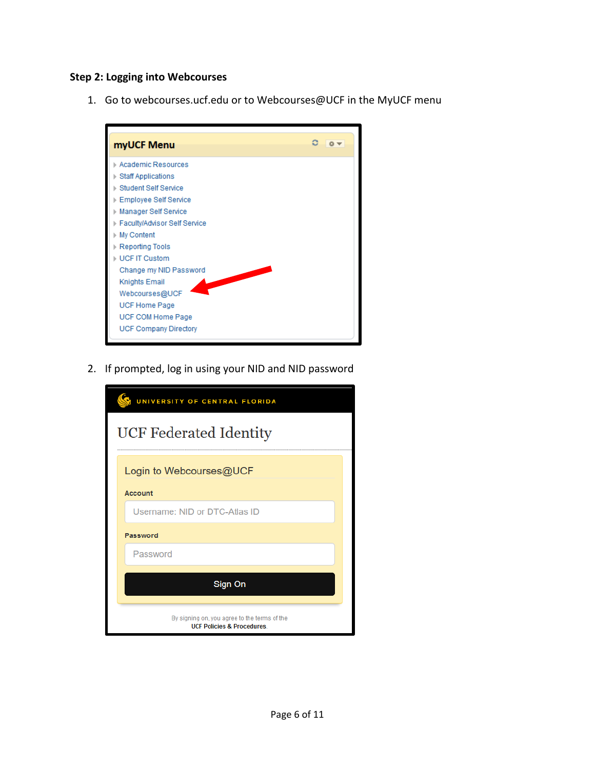#### **Step 2: Logging into Webcourses**

1. Go to webcourses.ucf.edu or to Webcourses@UCF in the MyUCF menu



2. If prompted, log in using your NID and NID password

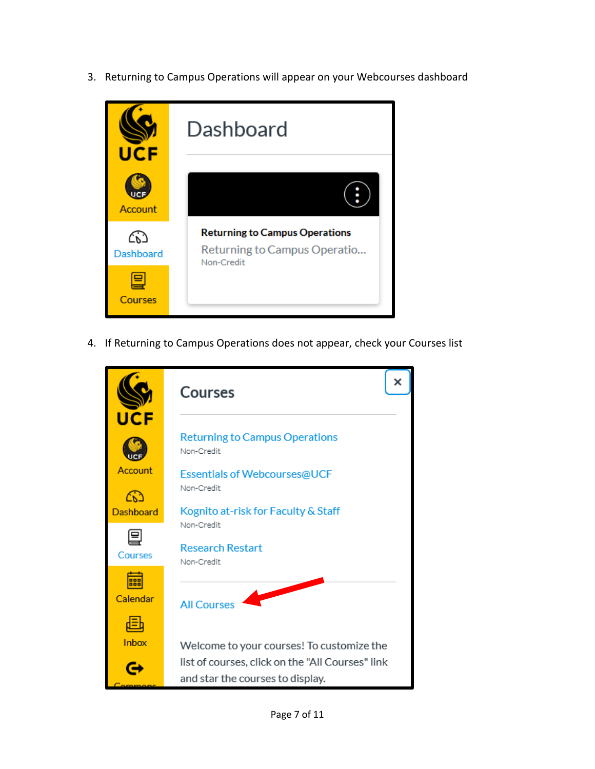3. Returning to Campus Operations will appear on your Webcourses dashboard



4. If Returning to Campus Operations does not appear, check your Courses list

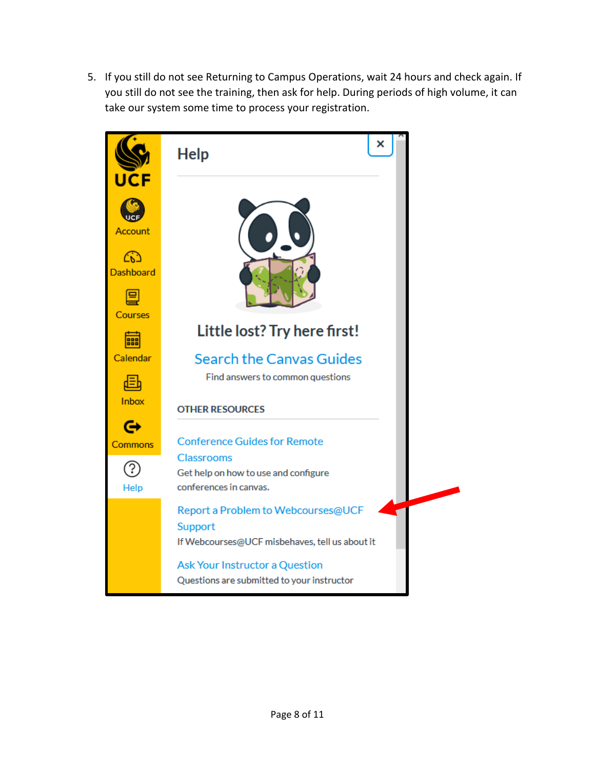5. If you still do not see Returning to Campus Operations, wait 24 hours and check again. If you still do not see the training, then ask for help. During periods of high volume, it can take our system some time to process your registration.

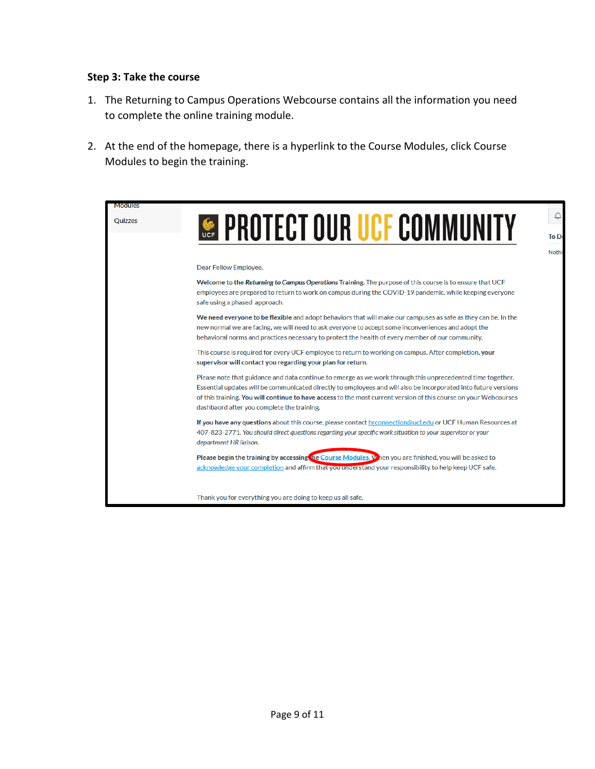#### **Step 3: Take the course**

- 1. The Returning to Campus Operations Webcourse contains all the information you need to complete the online training module.
- 2. At the end of the homepage, there is a hyperlink to the Course Modules, click Course Modules to begin the training.

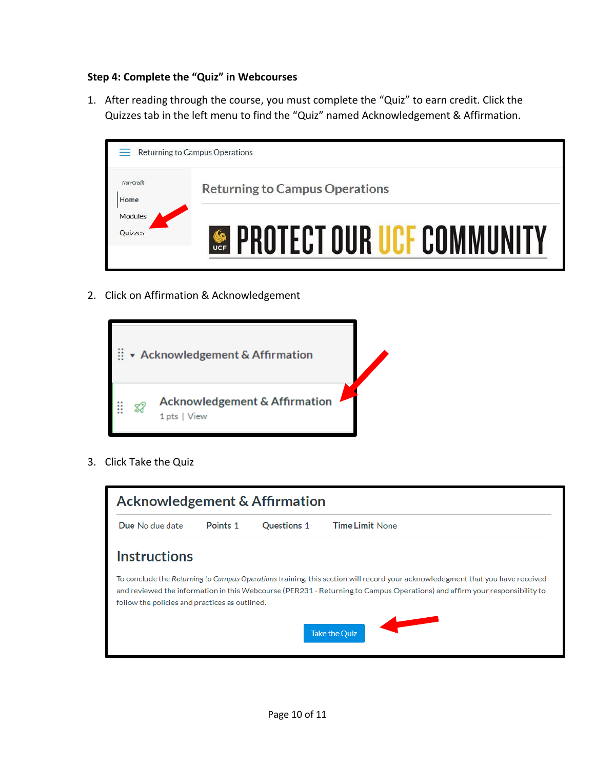## **Step 4: Complete the "Quiz" in Webcourses**

1. After reading through the course, you must complete the "Quiz" to earn credit. Click the Quizzes tab in the left menu to find the "Quiz" named Acknowledgement & Affirmation.



2. Click on Affirmation & Acknowledgement



3. Click Take the Quiz